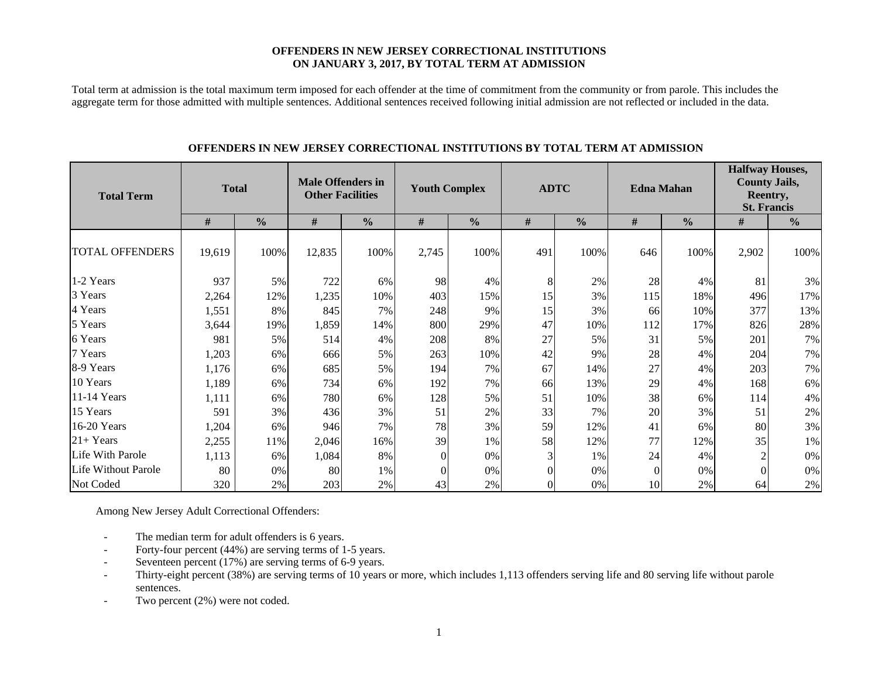#### **OFFENDERS IN NEW JERSEY CORRECTIONAL INSTITUTIONS ON JANUARY 3, 2017, BY TOTAL TERM AT ADMISSION**

Total term at admission is the total maximum term imposed for each offender at the time of commitment from the community or from parole. This includes the aggregate term for those admitted with multiple sentences. Additional sentences received following initial admission are not reflected or included in the data.

| <b>Total Term</b>      | <b>Total</b> |               | <b>Male Offenders in</b><br><b>Other Facilities</b> |               | <b>Youth Complex</b> |               |      | <b>ADTC</b>   | <b>Edna Mahan</b> |               | <b>Halfway Houses,</b><br><b>County Jails,</b><br>Reentry,<br><b>St. Francis</b> |               |  |
|------------------------|--------------|---------------|-----------------------------------------------------|---------------|----------------------|---------------|------|---------------|-------------------|---------------|----------------------------------------------------------------------------------|---------------|--|
|                        | #            | $\frac{0}{0}$ | $\#$                                                | $\frac{0}{0}$ | $\#$                 | $\frac{0}{0}$ | $\#$ | $\frac{0}{0}$ | #                 | $\frac{0}{0}$ | #                                                                                | $\frac{0}{0}$ |  |
| <b>TOTAL OFFENDERS</b> | 19,619       | 100%          | 12,835                                              | 100%          | 2,745                | 100%          | 491  | 100%          | 646               | 100%          | 2,902                                                                            | 100%          |  |
| 1-2 Years              | 937          | 5%            | 722                                                 | 6%            | 98                   | 4%            | 8    | 2%            | 28                | 4%            | 81                                                                               | 3%            |  |
| 3 Years                | 2,264        | 12%           | 1,235                                               | 10%           | 403                  | 15%           | 15   | 3%            | 115               | 18%           | 496                                                                              | 17%           |  |
| 4 Years                | 1,551        | 8%            | 845                                                 | 7%            | 248                  | 9%            | 15   | 3%            | 66                | 10%           | 377                                                                              | 13%           |  |
| 5 Years                | 3,644        | 19%           | 1,859                                               | 14%           | 800                  | 29%           | 47   | 10%           | 112               | 17%           | 826                                                                              | 28%           |  |
| 6 Years                | 981          | 5%            | 514                                                 | 4%            | 208                  | 8%            | 27   | 5%            | 31                | 5%            | 201                                                                              | 7%            |  |
| 7 Years                | 1,203        | 6%            | 666                                                 | 5%            | 263                  | 10%           | 42   | 9%            | 28                | 4%            | 204                                                                              | 7%            |  |
| 8-9 Years              | 1,176        | 6%            | 685                                                 | 5%            | 194                  | 7%            | 67   | 14%           | 27                | 4%            | 203                                                                              | 7%            |  |
| 10 Years               | 1,189        | 6%            | 734                                                 | 6%            | 192                  | 7%            | 66   | 13%           | 29                | 4%            | 168                                                                              | 6%            |  |
| 11-14 Years            | 1,111        | 6%            | 780                                                 | 6%            | 128                  | 5%            | 51   | 10%           | 38                | 6%            | 114                                                                              | 4%            |  |
| 15 Years               | 591          | 3%            | 436                                                 | 3%            | 51                   | 2%            | 33   | 7%            | 20                | 3%            | 51                                                                               | 2%            |  |
| 16-20 Years            | 1,204        | 6%            | 946                                                 | 7%            | 78                   | 3%            | 59   | 12%           | 41                | 6%            | 80                                                                               | 3%            |  |
| $21+Years$             | 2,255        | 11%           | 2,046                                               | 16%           | 39                   | 1%            | 58   | 12%           | 77                | 12%           | 35                                                                               | 1%            |  |
| Life With Parole       | 1,113        | 6%            | 1,084                                               | 8%            | $\Omega$             | 0%            | 3    | 1%            | 24                | 4%            | $\overline{2}$                                                                   | 0%            |  |
| Life Without Parole    | 80           | 0%            | 80                                                  | 1%            | $\theta$             | 0%            |      | 0%            | $\theta$          | 0%            |                                                                                  | $0\%$         |  |
| Not Coded              | 320          | 2%            | 203                                                 | 2%            | 43                   | 2%            |      | 0%            | 10                | 2%            | 64                                                                               | 2%            |  |

#### **OFFENDERS IN NEW JERSEY CORRECTIONAL INSTITUTIONS BY TOTAL TERM AT ADMISSION**

Among New Jersey Adult Correctional Offenders:

- The median term for adult offenders is 6 years.
- Forty-four percent (44%) are serving terms of 1-5 years.
- Seventeen percent (17%) are serving terms of 6-9 years.
- - Thirty-eight percent (38%) are serving terms of 10 years or more, which includes 1,113 offenders serving life and 80 serving life without parole sentences.
- -Two percent (2%) were not coded.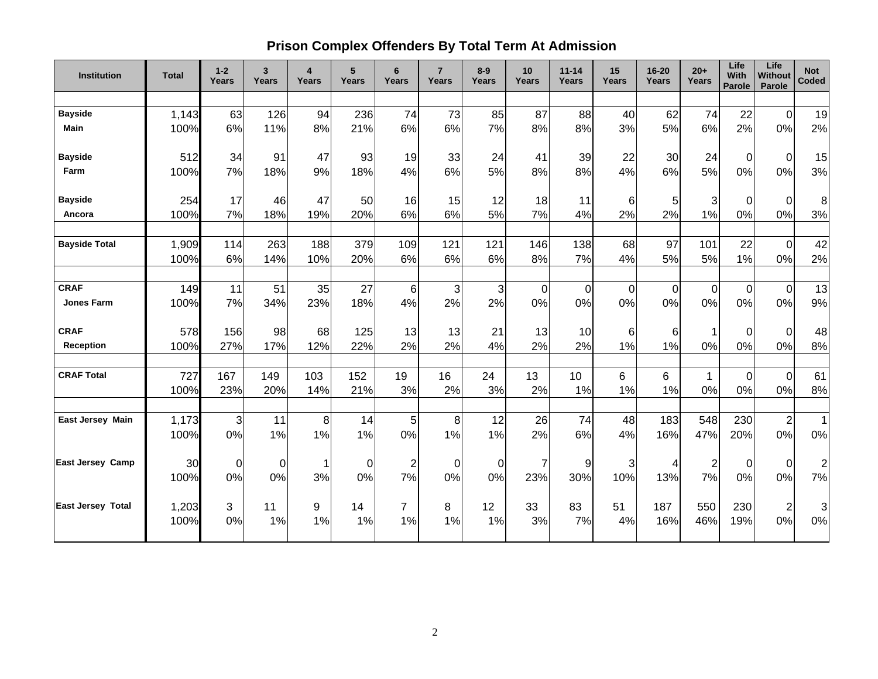# **Prison Complex Offenders By Total Term At Admission**

| <b>Institution</b>       | <b>Total</b> | $1 - 2$<br>Years | 3<br>Years | $\overline{4}$<br>Years | 5 <sup>5</sup><br>Years | 6<br>Years     | $\overline{7}$<br>Years | $8-9$<br>Years | 10 <sup>1</sup><br>Years | $11 - 14$<br>Years | 15<br><b>Years</b> | $16 - 20$<br>Years | $20+$<br>Years          | Life<br>With<br><b>Parole</b> | Life<br>Without<br>Parole | <b>Not</b><br>Coded     |
|--------------------------|--------------|------------------|------------|-------------------------|-------------------------|----------------|-------------------------|----------------|--------------------------|--------------------|--------------------|--------------------|-------------------------|-------------------------------|---------------------------|-------------------------|
|                          |              |                  |            |                         |                         |                |                         |                |                          |                    |                    |                    |                         |                               |                           |                         |
| <b>Bayside</b>           | 1,143        | 63               | 126        | 94                      | 236                     | 74             | 73                      | 85             | 87                       | 88                 | 40                 | 62                 | 74                      | 22                            | $\Omega$                  | 19                      |
| <b>Main</b>              | 100%         | 6%               | 11%        | 8%                      | 21%                     | 6%             | 6%                      | 7%             | 8%                       | 8%                 | 3%                 | 5%                 | 6%                      | 2%                            | 0%                        | 2%                      |
| <b>Bayside</b>           | 512          | 34               | 91         | 47                      | 93                      | 19             | 33                      | 24             | 41                       | 39                 | 22                 | 30                 | 24                      | $\mathbf 0$                   | $\mathbf 0$               | 15                      |
| Farm                     | 100%         | 7%               | 18%        | 9%                      | 18%                     | 4%             | 6%                      | 5%             | 8%                       | 8%                 | 4%                 | 6%                 | 5%                      | 0%                            | 0%                        | 3%                      |
| <b>Bayside</b>           | 254          | 17               | 46         | 47                      | 50                      | 16             | 15                      | 12             | 18                       | 11                 | 6                  | 5                  | 3                       | 0                             | $\mathbf 0$               | 8                       |
| Ancora                   | 100%         | 7%               | 18%        | 19%                     | 20%                     | 6%             | 6%                      | 5%             | 7%                       | 4%                 | 2%                 | 2%                 | 1%                      | 0%                            | 0%                        | 3%                      |
| <b>Bayside Total</b>     | 1,909        | 114              | 263        | 188                     | 379                     | 109            | 121                     | 121            | 146                      | 138                | 68                 | 97                 | 101                     | 22                            | $\overline{0}$            | 42                      |
|                          | 100%         | 6%               | 14%        | 10%                     | 20%                     | 6%             | 6%                      | 6%             | 8%                       | 7%                 | 4%                 | 5%                 | 5%                      | 1%                            | 0%                        | 2%                      |
| <b>CRAF</b>              | 149          | 11               | 51         | 35                      | 27                      | $6\phantom{.}$ | 3                       | 3              | $\overline{0}$           | $\mathbf 0$        | $\boldsymbol{0}$   | $\Omega$           | 0                       | 0                             | $\overline{0}$            | 13                      |
| <b>Jones Farm</b>        | 100%         | 7%               | 34%        | 23%                     | 18%                     | 4%             | 2%                      | 2%             | 0%                       | 0%                 | 0%                 | 0%                 | 0%                      | 0%                            | 0%                        | 9%                      |
| <b>CRAF</b>              | 578          | 156              | 98         | 68                      | 125                     | 13             | 13                      | 21             | 13                       | 10                 | 6                  | 6                  | 1                       | 0                             | $\mathbf 0$               | 48                      |
| <b>Reception</b>         | 100%         | 27%              | 17%        | 12%                     | 22%                     | 2%             | 2%                      | 4%             | 2%                       | 2%                 | 1%                 | 1%                 | 0%                      | 0%                            | 0%                        | 8%                      |
| <b>CRAF Total</b>        | 727          | 167              | 149        | 103                     | 152                     | 19             | 16                      | 24             | 13                       | 10                 | 6                  | 6                  | $\mathbf{1}$            | $\Omega$                      | $\mathbf 0$               | 61                      |
|                          | 100%         | 23%              | 20%        | 14%                     | 21%                     | 3%             | 2%                      | 3%             | 2%                       | 1%                 | 1%                 | 1%                 | 0%                      | 0%                            | 0%                        | 8%                      |
| East Jersey Main         | 1,173        | 3                | 11         | 8                       | 14                      | 5              | 8                       | 12             | 26                       | 74                 | 48                 | 183                | 548                     | 230                           | $\overline{2}$            | 1                       |
|                          | 100%         | 0%               | 1%         | 1%                      | 1%                      | 0%             | 1%                      | 1%             | 2%                       | 6%                 | 4%                 | 16%                | 47%                     | 20%                           | 0%                        | 0%                      |
| <b>East Jersey Camp</b>  | 30           | 0                | 0          | 1                       | $\mathbf 0$             | $\overline{2}$ | $\Omega$                | $\mathbf 0$    | 7                        | 9                  | 3                  |                    | $\overline{\mathbf{c}}$ | 0                             | $\mathbf 0$               | $\overline{\mathbf{c}}$ |
|                          | 100%         | 0%               | 0%         | 3%                      | 0%                      | 7%             | 0%                      | 0%             | 23%                      | 30%                | 10%                | 13%                | 7%                      | 0%                            | 0%                        | 7%                      |
| <b>East Jersey Total</b> | 1,203        | 3                | 11         | 9                       | 14                      | $\overline{7}$ | 8                       | 12             | 33                       | 83                 | 51                 | 187                | 550                     | 230                           | $\overline{2}$            | 3                       |
|                          | 100%         | 0%               | 1%         | 1%                      | 1%                      | 1%             | 1%                      | 1%             | 3%                       | 7%                 | 4%                 | 16%                | 46%                     | 19%                           | 0%                        | 0%                      |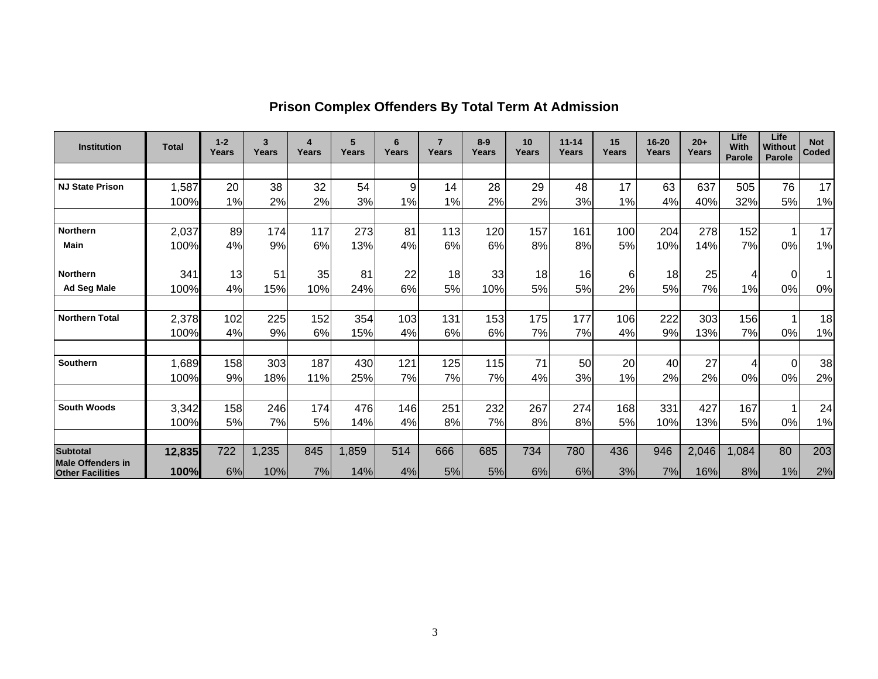| <b>Institution</b>                           | <b>Total</b> | $1 - 2$<br>Years | 3<br>Years | 4<br>Years | 5<br>Years | 6<br>Years | $\overline{7}$<br>Years | $8 - 9$<br>Years | 10<br>Years | $11 - 14$<br>Years | 15<br>Years | 16-20<br>Years | $20+$<br>Years | Life<br>With<br>Parole | Life<br>Without<br>Parole | <b>Not</b><br>Coded |
|----------------------------------------------|--------------|------------------|------------|------------|------------|------------|-------------------------|------------------|-------------|--------------------|-------------|----------------|----------------|------------------------|---------------------------|---------------------|
|                                              |              |                  |            |            |            |            |                         |                  |             |                    |             |                |                |                        |                           |                     |
| <b>NJ State Prison</b>                       | 1,587        | 20               | 38         | 32         | 54         | 9          | 14                      | 28               | 29          | 48                 | 17          | 63             | 637            | 505                    | 76                        | 17                  |
|                                              | 100%         | 1%               | 2%         | 2%         | 3%         | 1%         | 1%                      | 2%               | 2%          | 3%                 | 1%          | 4%             | 40%            | 32%                    | 5%                        | 1%                  |
|                                              |              |                  |            |            |            |            |                         |                  |             |                    |             |                |                |                        |                           |                     |
| <b>Northern</b>                              | 2,037        | 89               | 174        | 117        | 273        | 81         | 113                     | 120              | 157         | 161                | 100         | 204            | 278            | 152                    |                           | 17                  |
| Main                                         | 100%         | 4%               | 9%         | 6%         | 13%        | 4%         | 6%                      | 6%               | 8%          | 8%                 | 5%          | 10%            | 14%            | 7%                     | 0%                        | 1%                  |
|                                              |              |                  |            |            |            |            |                         |                  |             |                    |             |                |                |                        |                           |                     |
| <b>Northern</b>                              | 341          | 13               | 51         | 35         | 81         | 22         | 18                      | 33               | 18          | 16                 | 6           | 18             | 25             | 4                      | $\Omega$                  | 1                   |
| Ad Seg Male                                  | 100%         | 4%               | 15%        | 10%        | 24%        | 6%         | 5%                      | 10%              | 5%          | 5%                 | 2%          | 5%             | 7%             | 1%                     | 0%                        | 0%                  |
|                                              |              |                  |            |            |            |            |                         |                  |             |                    |             |                |                |                        |                           |                     |
| <b>Northern Total</b>                        | 2,378        | 102              | 225        | 152        | 354        | 103        | 131                     | 153              | 175         | 177                | 106         | 222            | 303            | 156                    |                           | 18                  |
|                                              | 100%         | 4%               | 9%         | 6%         | 15%        | 4%         | 6%                      | 6%               | 7%          | 7%                 | 4%          | 9%             | 13%            | 7%                     | 0%                        | 1%                  |
|                                              |              |                  |            |            |            |            |                         |                  |             |                    |             |                |                |                        |                           |                     |
| Southern                                     | 1,689        | 158              | 303        | 187        | 430        | 121        | 125                     | 115              | 71          | 50                 | 20          | 40             | 27             | 4                      | $\Omega$                  | 38                  |
|                                              | 100%         | 9%               | 18%        | 11%        | 25%        | 7%         | 7%                      | 7%               | 4%          | 3%                 | 1%          | 2%             | 2%             | 0%                     | 0%                        | 2%                  |
|                                              |              |                  |            |            |            |            |                         |                  |             |                    |             |                |                |                        |                           |                     |
| <b>South Woods</b>                           | 3,342        | 158              | 246        | 174        | 476        | 146        | 251                     | 232              | 267         | 274                | 168         | 331            | 427            | 167                    |                           | 24                  |
|                                              | 100%         | 5%               | 7%         | 5%         | 14%        | 4%         | 8%                      | 7%               | 8%          | 8%                 | 5%          | 10%            | 13%            | 5%                     | 0%                        | 1%                  |
|                                              |              |                  |            |            |            |            |                         |                  |             |                    |             |                |                |                        |                           |                     |
| <b>Subtotal</b>                              | 12,835       | 722              | 1,235      | 845        | 1,859      | 514        | 666                     | 685              | 734         | 780                | 436         | 946            | 2,046          | 1,084                  | 80                        | 203                 |
| Male Offenders in<br><b>Other Facilities</b> | 100%         | 6%               | 10%        | 7%         | 14%        | 4%         | 5%                      | 5%               | 6%          | 6%                 | 3%          | 7%             | 16%            | 8%                     | 1%                        | 2%                  |

# **Prison Complex Offenders By Total Term At Admission**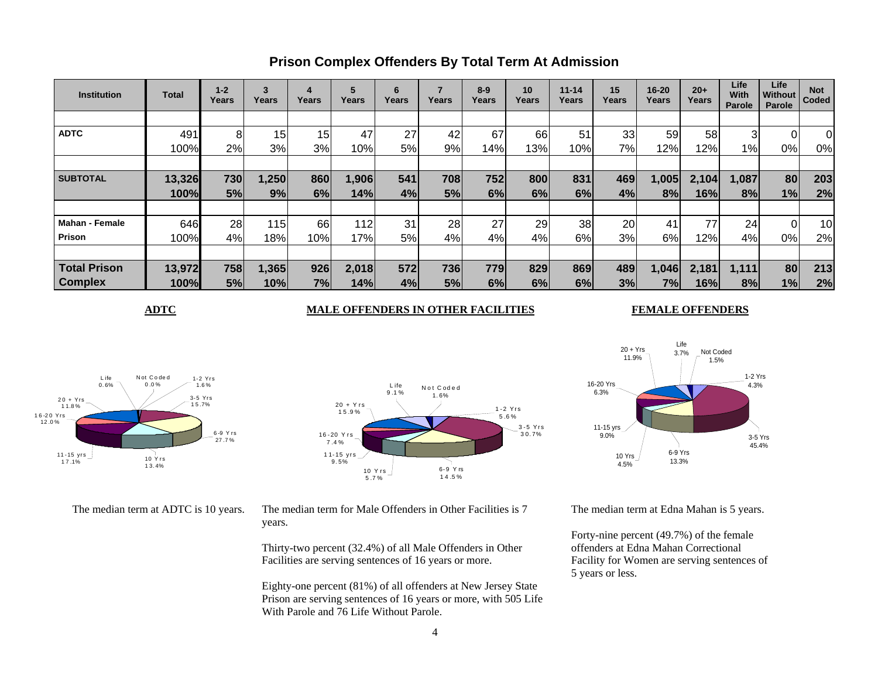| <b>Institution</b>    | <b>Total</b> | $1 - 2$<br>Years | 3<br>Years | 4<br>Years | 5<br>Years | 6<br>Years | Years | $8 - 9$<br>Years | 10<br>Years | $11 - 14$<br>Years | 15<br>Years | $16 - 20$<br>Years | $20+$<br>Years | Life<br>With<br>Parole | Life<br>Without<br>Parole | <b>Not</b><br>Coded |
|-----------------------|--------------|------------------|------------|------------|------------|------------|-------|------------------|-------------|--------------------|-------------|--------------------|----------------|------------------------|---------------------------|---------------------|
|                       |              |                  |            |            |            |            |       |                  |             |                    |             |                    |                |                        |                           |                     |
| <b>ADTC</b>           | 491          | 8                | 15         | 15         | 47         | 27         | 42    | 67               | 66          | 51                 | 33          | 59                 | 58             | 3                      | 01                        | $\overline{0}$      |
|                       | 100%         | 2%               | 3%         | 3%         | 10%        | 5%         | 9%    | 14%              | 13%         | 10%                | 7%          | 12%                | 12%            | 1%                     | 0%                        | 0%                  |
|                       |              |                  |            |            |            |            |       |                  |             |                    |             |                    |                |                        |                           |                     |
| <b>SUBTOTAL</b>       | 13,326       | 730              | 1,250      | 860        | 1,906      | 541        | 708   | 752              | 800         | 831                | 469         | 1,005              | 2,104          | 1,087                  | 80                        | 203                 |
|                       | 100%         | 5%               | 9%         | 6%         | 14%        | 4%         | 5%    | 6%               | 6%          | 6%                 | 4%          | 8%                 | 16%            | 8%                     | 1%                        | 2%                  |
|                       |              |                  |            |            |            |            |       |                  |             |                    |             |                    |                |                        |                           |                     |
| <b>Mahan - Female</b> | 646          | 28               | 115        | 66         | 112        | 31         | 28    | 27               | 29          | 38                 | 20          | 41                 | 77             | 24                     | ΩI                        | 10                  |
| Prison                | 100%         | 4%               | 18%        | 10%        | 17%        | 5%         | 4%    | 4%               | 4%          | 6%                 | 3%          | 6%                 | 12%            | 4%                     | 0%                        | 2%                  |
|                       |              |                  |            |            |            |            |       |                  |             |                    |             |                    |                |                        |                           |                     |
| <b>Total Prison</b>   | 13,972       | 758              | 1,365      | 926        | 2,018      | 572        | 736   | 779              | 829         | 869                | 489         | 1,046              | 2,181          | 1,111                  | 80                        | 213                 |
| <b>Complex</b>        | 100%         | 5%               | 10%        | 7%         | 14%        | 4%         | 5%    | 6%               | 6%          | 6%                 | 3%          | 7%                 | 16%            | 8%                     | 1%                        | 2%                  |

### **Prison Complex Offenders By Total Term At Admission**

#### **ADTC** MALE OFFENDERS IN OTHER FACILITIES

#### **FEMALE OFFENDERS**





The median term at ADTC is 10 years. The median term for Male Offenders in Other Facilities is 7 years.

> Thirty-two percent (32.4%) of all Male Offenders in Other Facilities are serving sentences of 16 years or more.

Eighty-one percent (81%) of all offenders at New Jersey State Prison are serving sentences of 16 years or more, with 505 Life With Parole and 76 Life Without Parole.



The median term at Edna Mahan is 5 years.

Forty-nine percent (49.7%) of the female offenders at Edna Mahan Correctional Facility for Women are serving sentences of 5 years or less.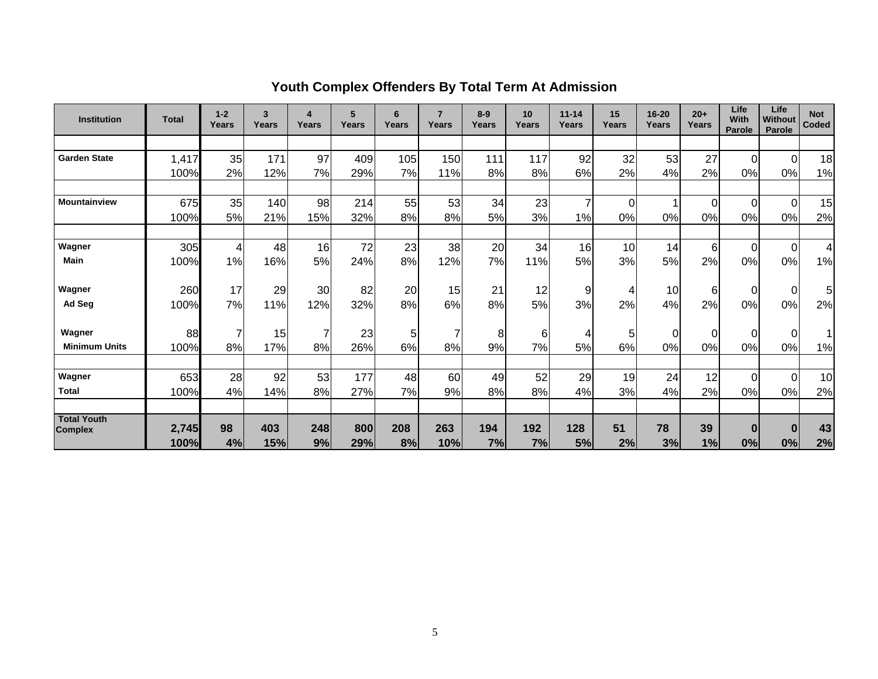| <b>Institution</b>                   | <b>Total</b>  | $1 - 2$<br>Years | 3<br>Years | 4<br>Years | 5<br>Years | 6<br>Years | $\overline{7}$<br>Years | $8-9$<br>Years | 10<br>Years | $11 - 14$<br>Years | 15<br>Years | $16 - 20$<br><b>Years</b> | $20+$<br>Years | Life<br><b>With</b><br>Parole | Life<br>Without<br>Parole | <b>Not</b><br><b>Coded</b> |
|--------------------------------------|---------------|------------------|------------|------------|------------|------------|-------------------------|----------------|-------------|--------------------|-------------|---------------------------|----------------|-------------------------------|---------------------------|----------------------------|
|                                      |               |                  |            |            |            |            |                         |                |             |                    |             |                           |                |                               |                           |                            |
| <b>Garden State</b>                  | 1,417         | 35               | 171        | 97         | 409        | 105        | 150                     | 111            | 117         | 92                 | 32          | 53                        | 27             | $\Omega$                      | $\overline{0}$            | 18                         |
|                                      | 100%          | 2%               | 12%        | 7%         | 29%        | 7%         | 11%                     | 8%             | 8%          | 6%                 | 2%          | 4%                        | 2%             | 0%                            | 0%                        | 1%                         |
|                                      |               |                  |            |            |            |            |                         |                |             |                    |             |                           |                |                               |                           |                            |
| <b>Mountainview</b>                  | 675           | 35               | 140        | 98         | 214        | 55         | 53                      | 34             | 23          | $\overline{7}$     | $\Omega$    |                           | $\Omega$       | $\Omega$                      | $\Omega$                  | 15                         |
|                                      | 100%          | 5%               | 21%        | 15%        | 32%        | 8%         | 8%                      | 5%             | 3%          | 1%                 | 0%          | 0%                        | 0%             | 0%                            | 0%                        | 2%                         |
|                                      |               |                  |            |            |            |            |                         |                |             |                    |             |                           |                |                               |                           |                            |
| Wagner                               | 305           | 4                | 48         | 16         | 72         | 23         | 38                      | 20             | 34          | 16                 | 10          | 14                        | $6 \,$         | 0                             | $\Omega$                  | $\overline{4}$             |
| <b>Main</b>                          | 100%          | 1%               | 16%        | 5%         | 24%        | 8%         | 12%                     | 7%             | 11%         | 5%                 | 3%          | 5%                        | 2%             | 0%                            | 0%                        | 1%                         |
| Wagner                               | 260           | 17               | 29         | 30         | 82         | 20         | 15                      | 21             | 12          | 9                  | 4           | 10                        | $6 \mid$       | $\Omega$                      | $\Omega$                  | 5                          |
| Ad Seg                               | 100%          | 7%               | 11%        | 12%        | 32%        | 8%         | 6%                      | 8%             | 5%          | 3%                 | 2%          | 4%                        | 2%             | 0%                            | 0%                        | 2%                         |
| Wagner                               | 88            | 7                | 15         | 7          | 23         | 5          | $\overline{7}$          | 8              | 6           | 4                  | 5           | $\Omega$                  | $\Omega$       | $\Omega$                      | $\Omega$                  | $\mathbf 1$                |
| <b>Minimum Units</b>                 | 100%          | 8%               | 17%        | 8%         | 26%        | 6%         | 8%                      | 9%             | 7%          | 5%                 | 6%          | 0%                        | 0%             | 0%                            | 0%                        | 1%                         |
|                                      |               |                  |            |            |            |            |                         |                |             |                    |             |                           |                |                               |                           |                            |
| Wagner                               | 653           | 28               | 92         | 53         | 177        | 48         | 60                      | 49             | 52          | 29                 | 19          | 24                        | 12             | $\Omega$                      | $\Omega$                  | 10                         |
| <b>Total</b>                         | 100%          | 4%               | 14%        | 8%         | 27%        | 7%         | 9%                      | 8%             | 8%          | 4%                 | 3%          | 4%                        | 2%             | 0%                            | 0%                        | 2%                         |
|                                      |               |                  |            |            |            |            |                         |                |             |                    |             |                           |                |                               |                           |                            |
| <b>Total Youth</b><br><b>Complex</b> | 2,745<br>100% | 98<br>4%         | 403<br>15% | 248<br>9%  | 800<br>29% | 208<br>8%  | 263<br>10%              | 194<br>7%      | 192<br>7%   | 128<br>5%          | 51<br>2%    | 78<br>3%                  | 39<br>1%       | $\bf{0}$<br>0%                | $\bf{0}$<br>0%            | 43<br>2%                   |

# **Youth Complex Offenders By Total Term At Admission**